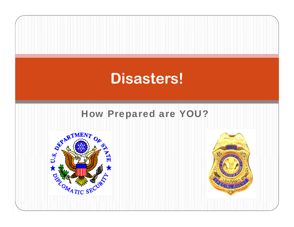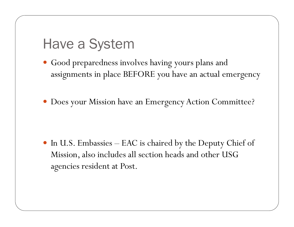### Have a System

- Good preparedness involves having yours plans and assignments in place BEFORE you have an actual emergency
- Does your Mission have an Emergency Action Committee?

 In U.S. Embassies – EAC is chaired by the Deputy Chief of Mission, also includes all section heads and other USG agencies resident at Post.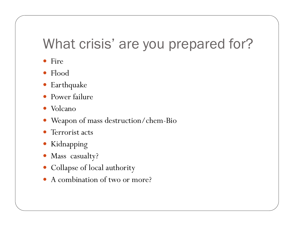## What crisis' are you prepared for?

- Fire
- $\bullet$  Flood
- Earthquake
- $\bullet$ Power failure
- Volcano
- Weapon of mass destruction/chem-Bio
- $\bullet$ Terrorist acts
- Kidnapping
- Mass casualty?
- Collapse of local authority
- A combination of two or more?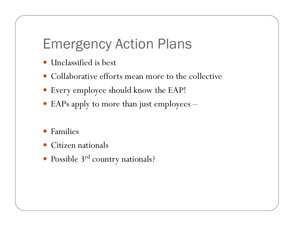## Emergency Action Plans

- Unclassified is best
- Collaborative efforts mean more to the collective
- Every employee should know the EAP!
- EAPs apply to more than just employees  $\sim$
- 0 Families
- 0 Citizen nationals
- Possible 3 . Possible 3<sup>rd</sup> country nationals?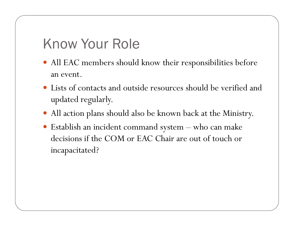### Know Your Role

- All EAC members should know their responsibilities before an event.
- Lists of contacts and outside resources should be verified and updated regularly.
- All action plans should also be known back at the Ministry.
- Establish an incident command system – who can make decisions if the COM or EAC Chair are out of touch or incapacitated?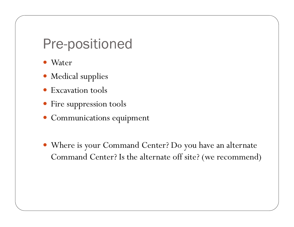#### Pre-positioned

- Water
- Medical supplies
- Excavation tools
- Fire suppression tools
- Communications equipment
- Where is your Command Center? Do you have an alternate Command Center? Is the alternate off site? (we recommend)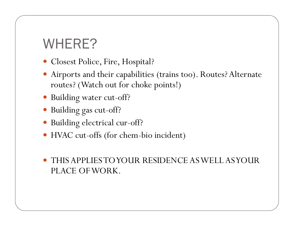# WHERE?

- Closest Police, Fire, Hospital?
- Airports and their capabilities (trains too). Routes? Alternate routes? (Watch out for choke points!)
- Building water cut-off?
- Building gas cut-off?
- Building electrical cur-off?
- HVAC cut-offs (for chem-bio incident)
- $\bullet$  THIS APPLIES TO YOUR RESIDENCE AS WELL AS YOUR PLACE OF WORK.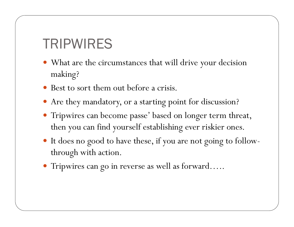### TRIPWIRES

- What are the circumstances that will drive your decision making?
- Best to sort them out before a crisis.
- Are they mandatory, or a starting point for discussion?
- Tripwires can become passe' based on longer term threat, then you can find yourself establishing ever riskier ones.
- It does no good to have these, if you are not going to followthrough with action.
- Tripwires can go in reverse as well as forward…..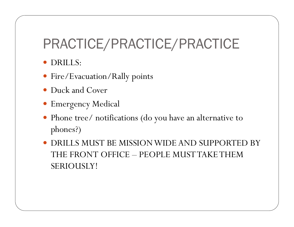# PRACTICE/PRACTICE/PRACTICE

- DRILLS:
- Fire/Evacuation/Rally points
- Duck and Cover
- Emergency Medical
- Phone tree/ notifications (do you have an alternative to phones?)
- DRILLS MUST BE MISSION WIDE AND SUPPORTED BY THE FRONT OFFICE – PEOPLE MUST TAKE THEM SERIOUSLY!